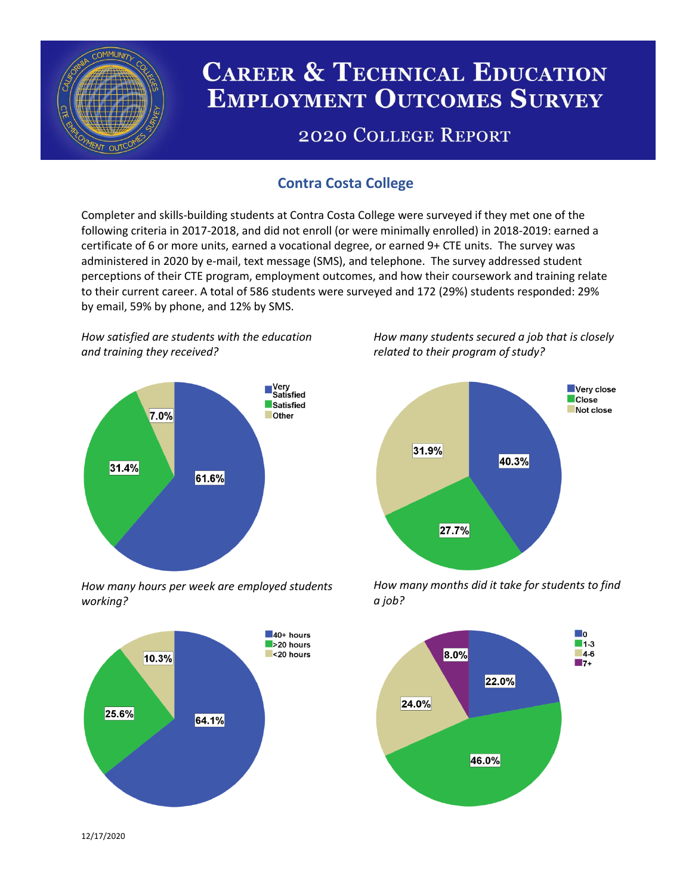

# **CAREER & TECHNICAL EDUCATION EMPLOYMENT OUTCOMES SURVEY**

## **2020 COLLEGE REPORT**

## **Contra Costa College**

Completer and skills-building students at Contra Costa College were surveyed if they met one of the following criteria in 2017-2018, and did not enroll (or were minimally enrolled) in 2018-2019: earned a certificate of 6 or more units, earned a vocational degree, or earned 9+ CTE units. The survey was administered in 2020 by e-mail, text message (SMS), and telephone. The survey addressed student perceptions of their CTE program, employment outcomes, and how their coursework and training relate to their current career. A total of 586 students were surveyed and 172 (29%) students responded: 29% by email, 59% by phone, and 12% by SMS.

*How satisfied are students with the education and training they received?*



*How many hours per week are employed students working?*



*How many students secured a job that is closely related to their program of study?*



*How many months did it take for students to find a job?*